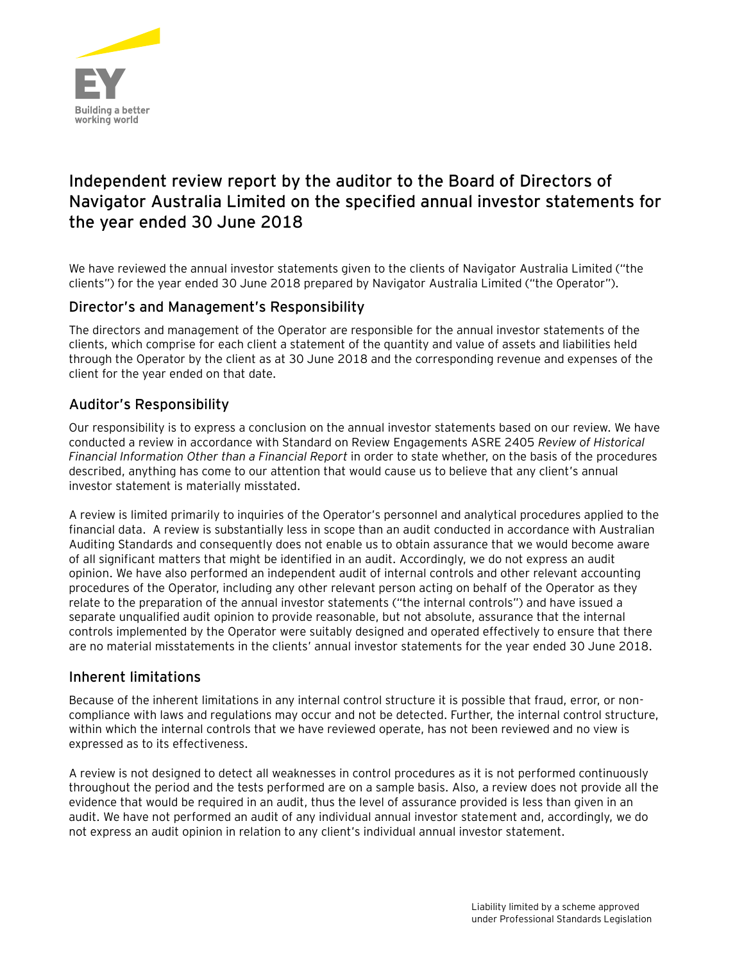

# **Independent review report by the auditor to the Board of Directors of Navigator Australia Limited on the specified annual investor statements for the year ended 30 June 2018**

We have reviewed the annual investor statements given to the clients of Navigator Australia Limited ("the clients") for the year ended 30 June 2018 prepared by Navigator Australia Limited ("the Operator").

# Director's and Management's Responsibility

The directors and management of the Operator are responsible for the annual investor statements of the clients, which comprise for each client a statement of the quantity and value of assets and liabilities held through the Operator by the client as at 30 June 2018 and the corresponding revenue and expenses of the client for the year ended on that date.

# Auditor's Responsibility

Our responsibility is to express a conclusion on the annual investor statements based on our review. We have conducted a review in accordance with Standard on Review Engagements ASRE 2405 *Review of Historical Financial Information Other than a Financial Report* in order to state whether, on the basis of the procedures described, anything has come to our attention that would cause us to believe that any client's annual investor statement is materially misstated.

A review is limited primarily to inquiries of the Operator's personnel and analytical procedures applied to the financial data. A review is substantially less in scope than an audit conducted in accordance with Australian Auditing Standards and consequently does not enable us to obtain assurance that we would become aware of all significant matters that might be identified in an audit. Accordingly, we do not express an audit opinion. We have also performed an independent audit of internal controls and other relevant accounting procedures of the Operator, including any other relevant person acting on behalf of the Operator as they relate to the preparation of the annual investor statements ("the internal controls") and have issued a separate unqualified audit opinion to provide reasonable, but not absolute, assurance that the internal controls implemented by the Operator were suitably designed and operated effectively to ensure that there are no material misstatements in the clients' annual investor statements for the year ended 30 June 2018.

### Inherent limitations

Because of the inherent limitations in any internal control structure it is possible that fraud, error, or noncompliance with laws and regulations may occur and not be detected. Further, the internal control structure, within which the internal controls that we have reviewed operate, has not been reviewed and no view is expressed as to its effectiveness.

A review is not designed to detect all weaknesses in control procedures as it is not performed continuously throughout the period and the tests performed are on a sample basis. Also, a review does not provide all the evidence that would be required in an audit, thus the level of assurance provided is less than given in an audit. We have not performed an audit of any individual annual investor statement and, accordingly, we do not express an audit opinion in relation to any client's individual annual investor statement.